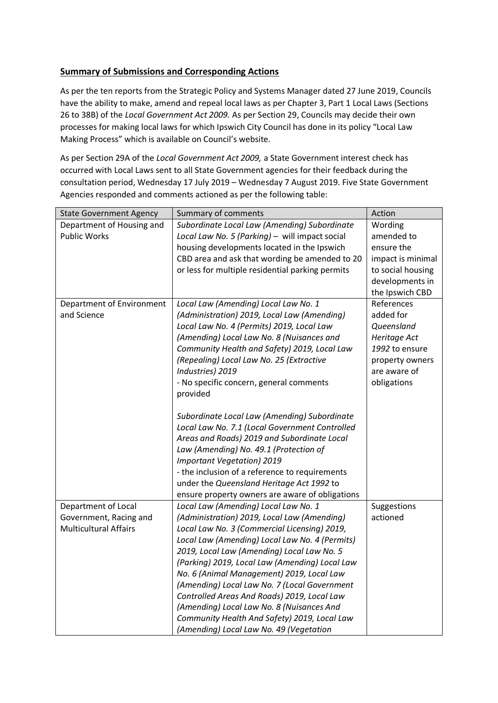## **Summary of Submissions and Corresponding Actions**

As per the ten reports from the Strategic Policy and Systems Manager dated 27 June 2019, Councils have the ability to make, amend and repeal local laws as per Chapter 3, Part 1 Local Laws (Sections 26 to 38B) of the *Local Government Act 2009.* As per Section 29, Councils may decide their own processes for making local laws for which Ipswich City Council has done in its policy "Local Law Making Process" which is available on Council's website.

As per Section 29A of the *Local Government Act 2009,* a State Government interest check has occurred with Local Laws sent to all State Government agencies for their feedback during the consultation period, Wednesday 17 July 2019 – Wednesday 7 August 2019. Five State Government Agencies responded and comments actioned as per the following table:

| <b>State Government Agency</b> | Summary of comments                              | Action            |
|--------------------------------|--------------------------------------------------|-------------------|
| Department of Housing and      | Subordinate Local Law (Amending) Subordinate     | Wording           |
| <b>Public Works</b>            | Local Law No. 5 (Parking) - will impact social   | amended to        |
|                                | housing developments located in the Ipswich      | ensure the        |
|                                | CBD area and ask that wording be amended to 20   | impact is minimal |
|                                | or less for multiple residential parking permits | to social housing |
|                                |                                                  | developments in   |
|                                |                                                  | the Ipswich CBD   |
| Department of Environment      | Local Law (Amending) Local Law No. 1             | References        |
| and Science                    | (Administration) 2019, Local Law (Amending)      | added for         |
|                                | Local Law No. 4 (Permits) 2019, Local Law        | Queensland        |
|                                | (Amending) Local Law No. 8 (Nuisances and        | Heritage Act      |
|                                | Community Health and Safety) 2019, Local Law     | 1992 to ensure    |
|                                | (Repealing) Local Law No. 25 (Extractive         | property owners   |
|                                | Industries) 2019                                 | are aware of      |
|                                | - No specific concern, general comments          | obligations       |
|                                | provided                                         |                   |
|                                |                                                  |                   |
|                                | Subordinate Local Law (Amending) Subordinate     |                   |
|                                | Local Law No. 7.1 (Local Government Controlled   |                   |
|                                | Areas and Roads) 2019 and Subordinate Local      |                   |
|                                | Law (Amending) No. 49.1 (Protection of           |                   |
|                                | <b>Important Vegetation) 2019</b>                |                   |
|                                | - the inclusion of a reference to requirements   |                   |
|                                | under the Queensland Heritage Act 1992 to        |                   |
|                                | ensure property owners are aware of obligations  |                   |
| Department of Local            | Local Law (Amending) Local Law No. 1             | Suggestions       |
| Government, Racing and         | (Administration) 2019, Local Law (Amending)      | actioned          |
| <b>Multicultural Affairs</b>   | Local Law No. 3 (Commercial Licensing) 2019,     |                   |
|                                | Local Law (Amending) Local Law No. 4 (Permits)   |                   |
|                                | 2019, Local Law (Amending) Local Law No. 5       |                   |
|                                | (Parking) 2019, Local Law (Amending) Local Law   |                   |
|                                | No. 6 (Animal Management) 2019, Local Law        |                   |
|                                | (Amending) Local Law No. 7 (Local Government     |                   |
|                                | Controlled Areas And Roads) 2019, Local Law      |                   |
|                                | (Amending) Local Law No. 8 (Nuisances And        |                   |
|                                | Community Health And Safety) 2019, Local Law     |                   |
|                                | (Amending) Local Law No. 49 (Vegetation          |                   |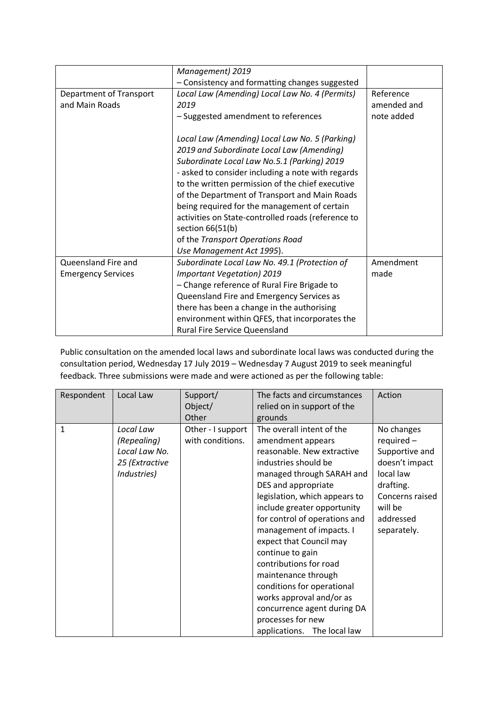|                           | Management) 2019                                   |             |
|---------------------------|----------------------------------------------------|-------------|
|                           | - Consistency and formatting changes suggested     |             |
| Department of Transport   | Local Law (Amending) Local Law No. 4 (Permits)     | Reference   |
| and Main Roads            | 2019                                               | amended and |
|                           | - Suggested amendment to references                | note added  |
|                           |                                                    |             |
|                           | Local Law (Amending) Local Law No. 5 (Parking)     |             |
|                           | 2019 and Subordinate Local Law (Amending)          |             |
|                           | Subordinate Local Law No.5.1 (Parking) 2019        |             |
|                           | - asked to consider including a note with regards  |             |
|                           | to the written permission of the chief executive   |             |
|                           | of the Department of Transport and Main Roads      |             |
|                           | being required for the management of certain       |             |
|                           | activities on State-controlled roads (reference to |             |
|                           | section $66(51(b))$                                |             |
|                           | of the Transport Operations Road                   |             |
|                           | Use Management Act 1995).                          |             |
| Queensland Fire and       | Subordinate Local Law No. 49.1 (Protection of      | Amendment   |
| <b>Emergency Services</b> | <b>Important Vegetation) 2019</b>                  | made        |
|                           | - Change reference of Rural Fire Brigade to        |             |
|                           | Queensland Fire and Emergency Services as          |             |
|                           | there has been a change in the authorising         |             |
|                           | environment within QFES, that incorporates the     |             |
|                           | <b>Rural Fire Service Queensland</b>               |             |

Public consultation on the amended local laws and subordinate local laws was conducted during the consultation period, Wednesday 17 July 2019 – Wednesday 7 August 2019 to seek meaningful feedback. Three submissions were made and were actioned as per the following table:

| Respondent | Local Law      | Support/          | The facts and circumstances   | Action          |
|------------|----------------|-------------------|-------------------------------|-----------------|
|            |                | Object/           | relied on in support of the   |                 |
|            |                | Other             | grounds                       |                 |
| 1          | Local Law      | Other - I support | The overall intent of the     | No changes      |
|            | (Repealing)    | with conditions.  | amendment appears             | $required -$    |
|            | Local Law No.  |                   | reasonable. New extractive    | Supportive and  |
|            | 25 (Extractive |                   | industries should be          | doesn't impact  |
|            | Industries)    |                   | managed through SARAH and     | local law       |
|            |                |                   | DES and appropriate           | drafting.       |
|            |                |                   | legislation, which appears to | Concerns raised |
|            |                |                   | include greater opportunity   | will be         |
|            |                |                   | for control of operations and | addressed       |
|            |                |                   | management of impacts. I      | separately.     |
|            |                |                   | expect that Council may       |                 |
|            |                |                   | continue to gain              |                 |
|            |                |                   | contributions for road        |                 |
|            |                |                   | maintenance through           |                 |
|            |                |                   | conditions for operational    |                 |
|            |                |                   | works approval and/or as      |                 |
|            |                |                   | concurrence agent during DA   |                 |
|            |                |                   | processes for new             |                 |
|            |                |                   | applications. The local law   |                 |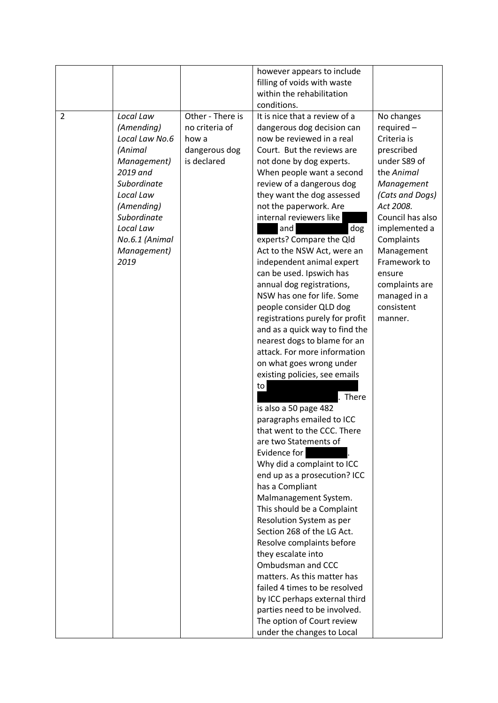|                |                                                                                                                                                                                                |                                                                             | however appears to include<br>filling of voids with waste<br>within the rehabilitation<br>conditions.                                                                                                                                                                                                                                                                                                                                                                                                                                                                                                                                                                                                                                                                                                                                                                                                                                                                                                                                                                                                                                                                                                                                                                                                                                           |                                                                                                                                                                                                                                                                                           |
|----------------|------------------------------------------------------------------------------------------------------------------------------------------------------------------------------------------------|-----------------------------------------------------------------------------|-------------------------------------------------------------------------------------------------------------------------------------------------------------------------------------------------------------------------------------------------------------------------------------------------------------------------------------------------------------------------------------------------------------------------------------------------------------------------------------------------------------------------------------------------------------------------------------------------------------------------------------------------------------------------------------------------------------------------------------------------------------------------------------------------------------------------------------------------------------------------------------------------------------------------------------------------------------------------------------------------------------------------------------------------------------------------------------------------------------------------------------------------------------------------------------------------------------------------------------------------------------------------------------------------------------------------------------------------|-------------------------------------------------------------------------------------------------------------------------------------------------------------------------------------------------------------------------------------------------------------------------------------------|
| $\overline{2}$ | Local Law<br>(Amending)<br>Local Law No.6<br>(Animal<br>Management)<br>2019 and<br>Subordinate<br>Local Law<br>(Amending)<br>Subordinate<br>Local Law<br>No.6.1 (Animal<br>Management)<br>2019 | Other - There is<br>no criteria of<br>how a<br>dangerous dog<br>is declared | It is nice that a review of a<br>dangerous dog decision can<br>now be reviewed in a real<br>Court. But the reviews are<br>not done by dog experts.<br>When people want a second<br>review of a dangerous dog<br>they want the dog assessed<br>not the paperwork. Are<br>internal reviewers like<br>dog<br>and<br>experts? Compare the Qld<br>Act to the NSW Act, were an<br>independent animal expert<br>can be used. Ipswich has<br>annual dog registrations,<br>NSW has one for life. Some<br>people consider QLD dog<br>registrations purely for profit<br>and as a quick way to find the<br>nearest dogs to blame for an<br>attack. For more information<br>on what goes wrong under<br>existing policies, see emails<br>to<br>. There<br>is also a 50 page 482<br>paragraphs emailed to ICC<br>that went to the CCC. There<br>are two Statements of<br>Evidence for<br>Why did a complaint to ICC<br>end up as a prosecution? ICC<br>has a Compliant<br>Malmanagement System.<br>This should be a Complaint<br>Resolution System as per<br>Section 268 of the LG Act.<br>Resolve complaints before<br>they escalate into<br>Ombudsman and CCC<br>matters. As this matter has<br>failed 4 times to be resolved<br>by ICC perhaps external third<br>parties need to be involved.<br>The option of Court review<br>under the changes to Local | No changes<br>$required -$<br>Criteria is<br>prescribed<br>under S89 of<br>the Animal<br>Management<br>(Cats and Dogs)<br>Act 2008.<br>Council has also<br>implemented a<br>Complaints<br>Management<br>Framework to<br>ensure<br>complaints are<br>managed in a<br>consistent<br>manner. |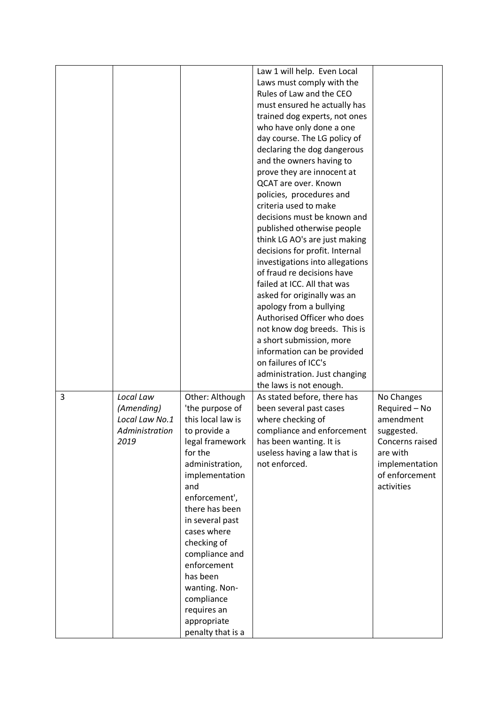|   |                |                             | Law 1 will help. Even Local     |                 |
|---|----------------|-----------------------------|---------------------------------|-----------------|
|   |                |                             | Laws must comply with the       |                 |
|   |                |                             | Rules of Law and the CEO        |                 |
|   |                |                             |                                 |                 |
|   |                |                             | must ensured he actually has    |                 |
|   |                |                             | trained dog experts, not ones   |                 |
|   |                |                             | who have only done a one        |                 |
|   |                |                             | day course. The LG policy of    |                 |
|   |                |                             | declaring the dog dangerous     |                 |
|   |                |                             | and the owners having to        |                 |
|   |                |                             | prove they are innocent at      |                 |
|   |                |                             | QCAT are over. Known            |                 |
|   |                |                             | policies, procedures and        |                 |
|   |                |                             | criteria used to make           |                 |
|   |                |                             | decisions must be known and     |                 |
|   |                |                             | published otherwise people      |                 |
|   |                |                             | think LG AO's are just making   |                 |
|   |                |                             | decisions for profit. Internal  |                 |
|   |                |                             | investigations into allegations |                 |
|   |                |                             | of fraud re decisions have      |                 |
|   |                |                             | failed at ICC. All that was     |                 |
|   |                |                             | asked for originally was an     |                 |
|   |                |                             | apology from a bullying         |                 |
|   |                |                             | Authorised Officer who does     |                 |
|   |                |                             | not know dog breeds. This is    |                 |
|   |                |                             | a short submission, more        |                 |
|   |                |                             | information can be provided     |                 |
|   |                |                             | on failures of ICC's            |                 |
|   |                |                             |                                 |                 |
|   |                |                             | administration. Just changing   |                 |
| 3 | Local Law      |                             | the laws is not enough.         |                 |
|   |                | Other: Although             | As stated before, there has     | No Changes      |
|   | (Amending)     | 'the purpose of             | been several past cases         | Required - No   |
|   | Local Law No.1 | this local law is           | where checking of               | amendment       |
|   | Administration | to provide a                | compliance and enforcement      | suggested.      |
|   | 2019           | legal framework             | has been wanting. It is         | Concerns raised |
|   |                | for the                     | useless having a law that is    | are with        |
|   |                | administration,             | not enforced.                   | implementation  |
|   |                | implementation              |                                 | of enforcement  |
|   |                | and                         |                                 | activities      |
|   |                | enforcement',               |                                 |                 |
|   |                | there has been              |                                 |                 |
|   |                | in several past             |                                 |                 |
|   |                | cases where                 |                                 |                 |
|   |                | checking of                 |                                 |                 |
|   |                | compliance and              |                                 |                 |
|   |                | enforcement                 |                                 |                 |
|   |                | has been                    |                                 |                 |
|   |                |                             |                                 |                 |
|   |                |                             |                                 |                 |
|   |                |                             |                                 |                 |
|   |                |                             |                                 |                 |
|   |                | requires an<br>appropriate  |                                 |                 |
|   |                | wanting. Non-<br>compliance |                                 |                 |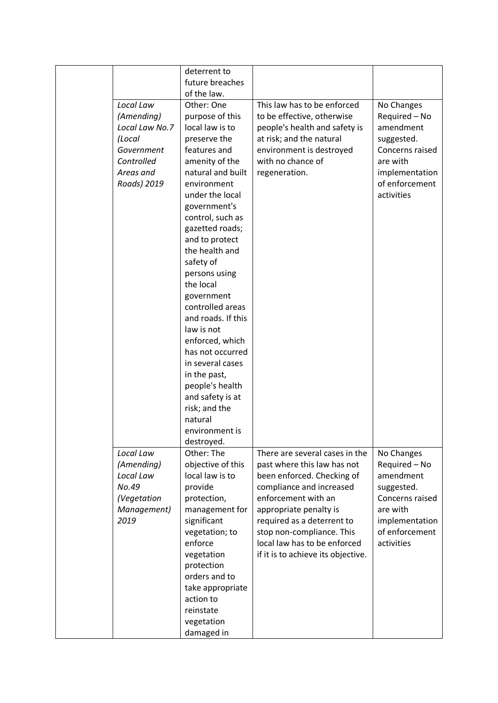|                | deterrent to                     |                                    |                 |
|----------------|----------------------------------|------------------------------------|-----------------|
|                | future breaches                  |                                    |                 |
|                |                                  |                                    |                 |
|                | of the law.                      |                                    |                 |
| Local Law      | Other: One                       | This law has to be enforced        | No Changes      |
| (Amending)     | purpose of this                  | to be effective, otherwise         | Required - No   |
| Local Law No.7 | local law is to                  | people's health and safety is      | amendment       |
| (Local         | preserve the                     | at risk; and the natural           | suggested.      |
| Government     | features and                     | environment is destroyed           | Concerns raised |
| Controlled     | amenity of the                   | with no chance of                  | are with        |
| Areas and      | natural and built                | regeneration.                      | implementation  |
| Roads) 2019    | environment                      |                                    | of enforcement  |
|                | under the local                  |                                    | activities      |
|                | government's                     |                                    |                 |
|                | control, such as                 |                                    |                 |
|                | gazetted roads;                  |                                    |                 |
|                | and to protect                   |                                    |                 |
|                | the health and                   |                                    |                 |
|                | safety of                        |                                    |                 |
|                | persons using<br>the local       |                                    |                 |
|                |                                  |                                    |                 |
|                | government                       |                                    |                 |
|                | controlled areas                 |                                    |                 |
|                | and roads. If this<br>law is not |                                    |                 |
|                | enforced, which                  |                                    |                 |
|                | has not occurred                 |                                    |                 |
|                | in several cases                 |                                    |                 |
|                | in the past,                     |                                    |                 |
|                | people's health                  |                                    |                 |
|                | and safety is at                 |                                    |                 |
|                | risk; and the                    |                                    |                 |
|                | natural                          |                                    |                 |
|                | environment is                   |                                    |                 |
|                | destroyed.                       |                                    |                 |
| Local Law      | Other: The                       | There are several cases in the     | No Changes      |
| (Amending)     | objective of this                | past where this law has not        | Required - No   |
| Local Law      | local law is to                  | been enforced. Checking of         | amendment       |
| No.49          | provide                          | compliance and increased           | suggested.      |
| (Vegetation    | protection,                      | enforcement with an                | Concerns raised |
| Management)    | management for                   | appropriate penalty is             | are with        |
| 2019           | significant                      | required as a deterrent to         | implementation  |
|                | vegetation; to                   | stop non-compliance. This          | of enforcement  |
|                | enforce                          | local law has to be enforced       | activities      |
|                | vegetation                       | if it is to achieve its objective. |                 |
|                | protection                       |                                    |                 |
|                | orders and to                    |                                    |                 |
|                | take appropriate                 |                                    |                 |
|                | action to                        |                                    |                 |
|                | reinstate                        |                                    |                 |
|                | vegetation                       |                                    |                 |
|                | damaged in                       |                                    |                 |